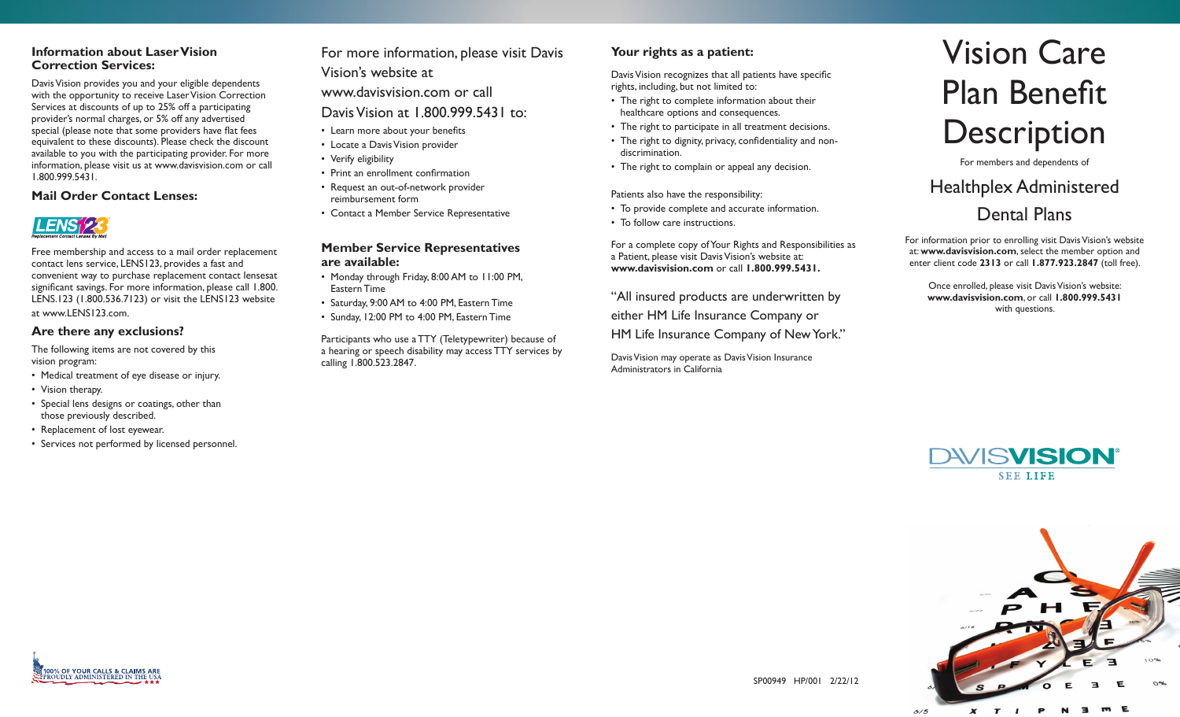### **Information about Laser Vision Correction Services:**

Davis Vision provides you and your eligible dependents with the opportunity to receive Laser Vision Correction Services at discounts of up to 25% off a participating provider's normal charges, or 5% off any advertised special (please note that some providers have flat fees equivalent to these discounts). Please check the discount available to you with the participating provider. For more information, please visit us at www.davisvision.com or call 1.800.999.5431.

#### **Mail Order Contact Lenses:**



Free membership and access to a mail order replacement contact lens service, LENS123, provides a fast and convenient way to purchase replacement contact lensesat significant savings. For more information, please call 1.800. LENS.123 (1.800.536.7123) or visit the LENS123 website at www.LENS123.com.

#### **Are there any exclusions?**

The following items are not covered by this vision program:

- Medical treatment of eye disease or injury.
- Vision therapy.
- Special lens designs or coatings, other than those previously described.
- Replacement of lost eyewear.

100% OF YOUR CALLS & CLAIMS ARE<br>SEPROUDLY ADMINISTERED IN THE USA

• Services not performed by licensed personnel.

For more information, please visit Davis Vision's website at

www.davisvision.com or call

Davis Vision at 1.800.999.5431 to:

- Learn more about your benefits
- Locate a Davis Vision provider
- Verify eligibility
- Print an enrollment confirmation
- Request an out-of-network provider reimbursement form
- Contact a Member Service Representative

### **Member Service Representatives are available:**

- Monday through Friday, 8:00 AM to 11:00 PM, Eastern Time
- Saturday, 9:00 AM to 4:00 PM, Eastern Time
- Sunday, 12:00 PM to 4:00 PM, Eastern Time

Participants who use a TTY (Teletypewriter) because of a hearing or speech disability may access TTY services by calling 1.800.523.2847.

## **Your rights as a patient:**

Davis Vision recognizes that all patients have specific rights, including, but not limited to:

- The right to complete information about their healthcare options and consequences.
- The right to participate in all treatment decisions.
- The right to dignity, privacy, confidentiality and nondiscrimination.
- The right to complain or appeal any decision.

Patients also have the responsibility:

- To provide complete and accurate information.
- To follow care instructions.

For a complete copy of Your Rights and Responsibilities as a Patient, please visit Davis Vision's website at: **www.davisvision.com** or call **1.800.999.5431.**

"All insured products are underwritten by

either HM Life Insurance Company or

HM Life Insurance Company of New York."

Davis Vision may operate as Davis Vision Insurance Administrators in California

# Vision Care Plan Benefit **Description**

For members and dependents of

# Healthplex Administered Dental Plans

For information prior to enrolling visit Davis Vision's website at: **www.davisvision.com**, select the member option and enter client code **2313** or call **1.877.923.2847** (toll free).

Once enrolled, please visit Davis Vision's website: **www.davisvision.com**, or call **1.800.999.5431** with questions.